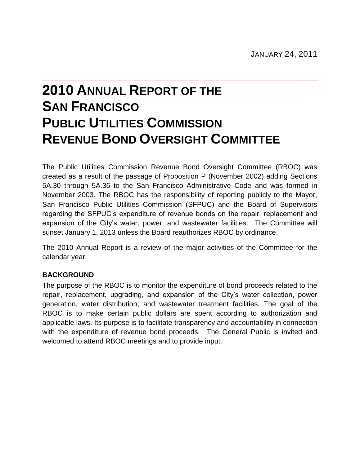# **2010 ANNUAL REPORT OF THE SAN FRANCISCO PUBLIC UTILITIES COMMISSION REVENUE BOND OVERSIGHT COMMITTEE**

The Public Utilities Commission Revenue Bond Oversight Committee (RBOC) was created as a result of the passage of Proposition P (November 2002) adding Sections 5A.30 through 5A.36 to the San Francisco Administrative Code and was formed in November 2003. The RBOC has the responsibility of reporting publicly to the Mayor, San Francisco Public Utilities Commission (SFPUC) and the Board of Supervisors regarding the SFPUC's expenditure of revenue bonds on the repair, replacement and expansion of the City's water, power, and wastewater facilities. The Committee will sunset January 1, 2013 unless the Board reauthorizes RBOC by ordinance.

The 2010 Annual Report is a review of the major activities of the Committee for the calendar year.

## **BACKGROUND**

The purpose of the RBOC is to monitor the expenditure of bond proceeds related to the repair, replacement, upgrading, and expansion of the City's water collection, power generation, water distribution, and wastewater treatment facilities. The goal of the RBOC is to make certain public dollars are spent according to authorization and applicable laws. Its purpose is to facilitate transparency and accountability in connection with the expenditure of revenue bond proceeds. The General Public is invited and welcomed to attend RBOC meetings and to provide input.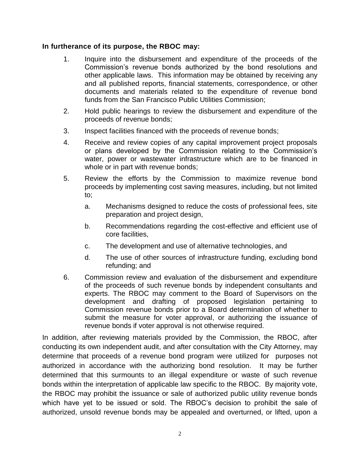#### **In furtherance of its purpose, the RBOC may:**

- 1. Inquire into the disbursement and expenditure of the proceeds of the Commission's revenue bonds authorized by the bond resolutions and other applicable laws. This information may be obtained by receiving any and all published reports, financial statements, correspondence, or other documents and materials related to the expenditure of revenue bond funds from the San Francisco Public Utilities Commission;
- 2. Hold public hearings to review the disbursement and expenditure of the proceeds of revenue bonds;
- 3. Inspect facilities financed with the proceeds of revenue bonds;
- 4. Receive and review copies of any capital improvement project proposals or plans developed by the Commission relating to the Commission's water, power or wastewater infrastructure which are to be financed in whole or in part with revenue bonds;
- 5. Review the efforts by the Commission to maximize revenue bond proceeds by implementing cost saving measures, including, but not limited to;
	- a. Mechanisms designed to reduce the costs of professional fees, site preparation and project design,
	- b. Recommendations regarding the cost-effective and efficient use of core facilities,
	- c. The development and use of alternative technologies, and
	- d. The use of other sources of infrastructure funding, excluding bond refunding; and
- 6. Commission review and evaluation of the disbursement and expenditure of the proceeds of such revenue bonds by independent consultants and experts. The RBOC may comment to the Board of Supervisors on the development and drafting of proposed legislation pertaining to Commission revenue bonds prior to a Board determination of whether to submit the measure for voter approval, or authorizing the issuance of revenue bonds if voter approval is not otherwise required.

In addition, after reviewing materials provided by the Commission, the RBOC, after conducting its own independent audit, and after consultation with the City Attorney, may determine that proceeds of a revenue bond program were utilized for purposes not authorized in accordance with the authorizing bond resolution. It may be further determined that this surmounts to an illegal expenditure or waste of such revenue bonds within the interpretation of applicable law specific to the RBOC. By majority vote, the RBOC may prohibit the issuance or sale of authorized public utility revenue bonds which have yet to be issued or sold. The RBOC's decision to prohibit the sale of authorized, unsold revenue bonds may be appealed and overturned, or lifted, upon a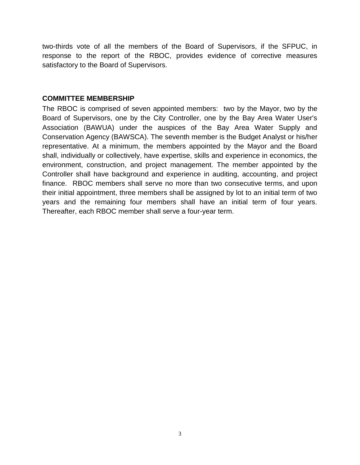two-thirds vote of all the members of the Board of Supervisors, if the SFPUC, in response to the report of the RBOC, provides evidence of corrective measures satisfactory to the Board of Supervisors.

#### **COMMITTEE MEMBERSHIP**

The RBOC is comprised of seven appointed members: two by the Mayor, two by the Board of Supervisors, one by the City Controller, one by the Bay Area Water User's Association (BAWUA) under the auspices of the Bay Area Water Supply and Conservation Agency (BAWSCA). The seventh member is the Budget Analyst or his/her representative. At a minimum, the members appointed by the Mayor and the Board shall, individually or collectively, have expertise, skills and experience in economics, the environment, construction, and project management. The member appointed by the Controller shall have background and experience in auditing, accounting, and project finance. RBOC members shall serve no more than two consecutive terms, and upon their initial appointment, three members shall be assigned by lot to an initial term of two years and the remaining four members shall have an initial term of four years. Thereafter, each RBOC member shall serve a four-year term.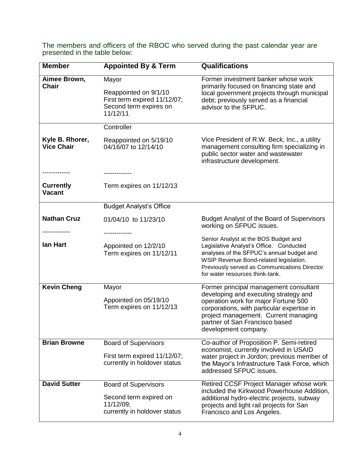| <b>Member</b>                        | <b>Appointed By &amp; Term</b>                                                                       | <b>Qualifications</b>                                                                                                                                                                                                                                                   |  |
|--------------------------------------|------------------------------------------------------------------------------------------------------|-------------------------------------------------------------------------------------------------------------------------------------------------------------------------------------------------------------------------------------------------------------------------|--|
| Aimee Brown,<br><b>Chair</b>         | Mayor<br>Reappointed on 9/1/10<br>First term expired 11/12/07;<br>Second term expires on<br>11/12/11 | Former investment banker whose work<br>primarily focused on financing state and<br>local government projects through municipal<br>debt; previously served as a financial<br>advisor to the SFPUC.                                                                       |  |
|                                      | Controller                                                                                           |                                                                                                                                                                                                                                                                         |  |
| Kyle B. Rhorer,<br><b>Vice Chair</b> | Reappointed on 5/19/10<br>04/16/07 to 12/14/10                                                       | Vice President of R.W. Beck, Inc., a utility<br>management consulting firm specializing in<br>public sector water and wastewater<br>infrastructure development.                                                                                                         |  |
| <b>Currently</b><br><b>Vacant</b>    | -----------<br>Term expires on 11/12/13                                                              |                                                                                                                                                                                                                                                                         |  |
|                                      | <b>Budget Analyst's Office</b>                                                                       |                                                                                                                                                                                                                                                                         |  |
| <b>Nathan Cruz</b>                   | 01/04/10 to 11/23/10                                                                                 | <b>Budget Analyst of the Board of Supervisors</b><br>working on SFPUC issues.                                                                                                                                                                                           |  |
| lan Hart                             | Appointed on 12/2/10<br>Term expires on 11/12/11                                                     | Senior Analyst at the BOS Budget and<br>Legislative Analyst's Office. Conducted<br>analyses of the SFPUC's annual budget and<br>WSIP Revenue Bond-related legislation.<br>Previously served as Communications Director<br>for water resources think-tank.               |  |
| <b>Kevin Cheng</b>                   | Mayor<br>Appointed on 05/19/10<br>Term expires on 11/12/13                                           | Former principal management consultant<br>developing and executing strategy and<br>operation work for major Fortune 500<br>corporations, with particular expertise in<br>project management. Current managing<br>partner of San Francisco based<br>development company. |  |
| <b>Brian Browne</b>                  | <b>Board of Supervisors</b><br>First term expired 11/12/07;<br>currently in holdover status          | Co-author of Proposition P. Semi-retired<br>economist, currently involved in USAID<br>water project in Jordon; previous member of<br>the Mayor's Infrastructure Task Force, which<br>addressed SFPUC issues.                                                            |  |
| <b>David Sutter</b>                  | <b>Board of Supervisors</b><br>Second term expired on<br>11/12/09;<br>currently in holdover status   | Retired CCSF Project Manager whose work<br>included the Kirkwood Powerhouse Addition,<br>additional hydro-electric projects, subway<br>projects and light rail projects for San<br>Francisco and Los Angeles.                                                           |  |

The members and officers of the RBOC who served during the past calendar year are presented in the table below: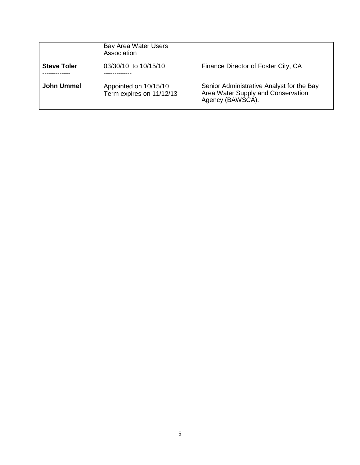|                    | Bay Area Water Users<br>Association               |                                                                                                     |
|--------------------|---------------------------------------------------|-----------------------------------------------------------------------------------------------------|
| <b>Steve Toler</b> | 03/30/10 to 10/15/10                              | Finance Director of Foster City, CA                                                                 |
| <b>John Ummel</b>  | Appointed on 10/15/10<br>Term expires on 11/12/13 | Senior Administrative Analyst for the Bay<br>Area Water Supply and Conservation<br>Agency (BAWSCA). |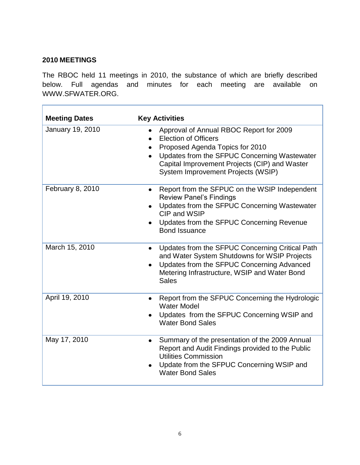## **2010 MEETINGS**

Г

The RBOC held 11 meetings in 2010, the substance of which are briefly described below. Full agendas and minutes for each meeting are available on WWW.SFWATER.ORG.

٦

| <b>Meeting Dates</b> | <b>Key Activities</b>                                                                                                                                                                                                                                         |
|----------------------|---------------------------------------------------------------------------------------------------------------------------------------------------------------------------------------------------------------------------------------------------------------|
| January 19, 2010     | Approval of Annual RBOC Report for 2009<br>$\bullet$<br><b>Election of Officers</b><br>Proposed Agenda Topics for 2010<br>Updates from the SFPUC Concerning Wastewater<br>Capital Improvement Projects (CIP) and Waster<br>System Improvement Projects (WSIP) |
| February 8, 2010     | Report from the SFPUC on the WSIP Independent<br>$\bullet$<br><b>Review Panel's Findings</b><br>Updates from the SFPUC Concerning Wastewater<br>CIP and WSIP<br>Updates from the SFPUC Concerning Revenue<br><b>Bond Issuance</b>                             |
| March 15, 2010       | Updates from the SFPUC Concerning Critical Path<br>$\bullet$<br>and Water System Shutdowns for WSIP Projects<br>Updates from the SFPUC Concerning Advanced<br>Metering Infrastructure, WSIP and Water Bond<br><b>Sales</b>                                    |
| April 19, 2010       | Report from the SFPUC Concerning the Hydrologic<br>$\bullet$<br><b>Water Model</b><br>Updates from the SFPUC Concerning WSIP and<br><b>Water Bond Sales</b>                                                                                                   |
| May 17, 2010         | Summary of the presentation of the 2009 Annual<br>$\bullet$<br>Report and Audit Findings provided to the Public<br><b>Utilities Commission</b><br>Update from the SFPUC Concerning WSIP and<br><b>Water Bond Sales</b>                                        |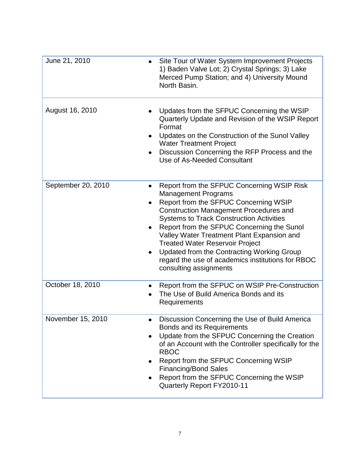| June 21, 2010      | Site Tour of Water System Improvement Projects<br>1) Baden Valve Lot; 2) Crystal Springs; 3) Lake<br>Merced Pump Station; and 4) University Mound<br>North Basin.                                                                                                                                                                                                                                                                                                                        |
|--------------------|------------------------------------------------------------------------------------------------------------------------------------------------------------------------------------------------------------------------------------------------------------------------------------------------------------------------------------------------------------------------------------------------------------------------------------------------------------------------------------------|
| August 16, 2010    | Updates from the SFPUC Concerning the WSIP<br>Quarterly Update and Revision of the WSIP Report<br>Format<br>Updates on the Construction of the Sunol Valley<br><b>Water Treatment Project</b><br>Discussion Concerning the RFP Process and the<br>Use of As-Needed Consultant                                                                                                                                                                                                            |
| September 20, 2010 | Report from the SFPUC Concerning WSIP Risk<br><b>Management Programs</b><br>Report from the SFPUC Concerning WSIP<br><b>Construction Management Procedures and</b><br><b>Systems to Track Construction Activities</b><br>Report from the SFPUC Concerning the Sunol<br>Valley Water Treatment Plant Expansion and<br><b>Treated Water Reservoir Project</b><br>Updated from the Contracting Working Group<br>regard the use of academics institutions for RBOC<br>consulting assignments |
| October 18, 2010   | Report from the SFPUC on WSIP Pre-Construction<br>The Use of Build America Bonds and its<br>Requirements                                                                                                                                                                                                                                                                                                                                                                                 |
| November 15, 2010  | Discussion Concerning the Use of Build America<br>Bonds and its Requirements<br>Update from the SFPUC Concerning the Creation<br>of an Account with the Controller specifically for the<br><b>RBOC</b><br>Report from the SFPUC Concerning WSIP<br><b>Financing/Bond Sales</b><br>Report from the SFPUC Concerning the WSIP<br>Quarterly Report FY2010-11                                                                                                                                |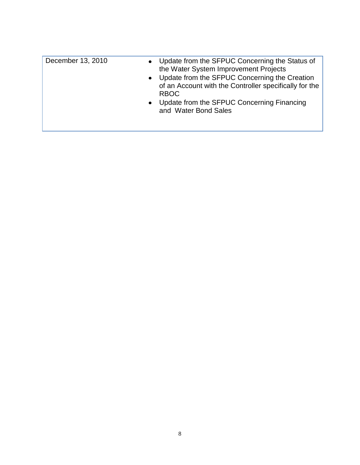| December 13, 2010 | Update from the SFPUC Concerning the Status of<br>$\bullet$<br>the Water System Improvement Projects<br>• Update from the SFPUC Concerning the Creation<br>of an Account with the Controller specifically for the<br><b>RBOC</b><br>• Update from the SFPUC Concerning Financing<br>and Water Bond Sales |
|-------------------|----------------------------------------------------------------------------------------------------------------------------------------------------------------------------------------------------------------------------------------------------------------------------------------------------------|
|                   |                                                                                                                                                                                                                                                                                                          |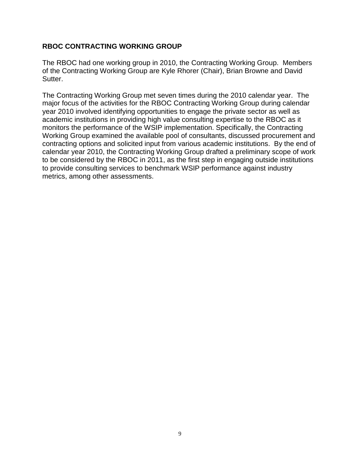### **RBOC CONTRACTING WORKING GROUP**

The RBOC had one working group in 2010, the Contracting Working Group. Members of the Contracting Working Group are Kyle Rhorer (Chair), Brian Browne and David Sutter.

The Contracting Working Group met seven times during the 2010 calendar year. The major focus of the activities for the RBOC Contracting Working Group during calendar year 2010 involved identifying opportunities to engage the private sector as well as academic institutions in providing high value consulting expertise to the RBOC as it monitors the performance of the WSIP implementation. Specifically, the Contracting Working Group examined the available pool of consultants, discussed procurement and contracting options and solicited input from various academic institutions. By the end of calendar year 2010, the Contracting Working Group drafted a preliminary scope of work to be considered by the RBOC in 2011, as the first step in engaging outside institutions to provide consulting services to benchmark WSIP performance against industry metrics, among other assessments.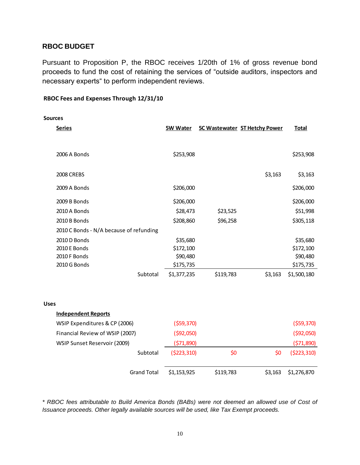#### **RBOC BUDGET**

Pursuant to Proposition P, the RBOC receives 1/20th of 1% of gross revenue bond proceeds to fund the cost of retaining the services of "outside auditors, inspectors and necessary experts" to perform independent reviews.

#### **RBOC Fees and Expenses Through 12/31/10**

| <b>Sources</b> |                                         |             |             |                                      |              |
|----------------|-----------------------------------------|-------------|-------------|--------------------------------------|--------------|
|                | <b>Series</b>                           | 5W Water    |             | <b>5C Wastewater 5T Hetchy Power</b> | <b>Total</b> |
|                |                                         |             |             |                                      |              |
|                | 2006 A Bonds                            | \$253,908   |             |                                      | \$253,908    |
|                | 2008 CREBS                              |             |             | \$3,163                              | \$3,163      |
|                | 2009 A Bonds                            | \$206,000   |             |                                      | \$206,000    |
|                | 2009 B Bonds                            | \$206,000   |             |                                      | \$206,000    |
|                | 2010 A Bonds                            | \$28,473    | \$23,525    |                                      | \$51,998     |
|                | 2010 B Bonds                            | \$208,860   | \$96,258    |                                      | \$305,118    |
|                | 2010 C Bonds - N/A because of refunding |             |             |                                      |              |
|                | 2010 D Bonds                            | \$35,680    |             |                                      | \$35,680     |
|                | 2010 E Bonds                            | \$172,100   |             |                                      | \$172,100    |
|                | 2010 F Bonds                            | \$90,480    |             |                                      | \$90,480     |
|                | 2010 G Bonds                            | \$175,735   |             |                                      | \$175,735    |
|                | Subtotal                                | \$1,377,235 | \$119,783   | \$3,163                              | \$1,500,180  |
|                |                                         |             |             |                                      |              |
| <b>Uses</b>    |                                         |             |             |                                      |              |
|                | <b>Independent Reports</b>              |             |             |                                      |              |
|                | WSIP Expenditures & CP (2006)           | (559, 370)  |             |                                      | ( \$59,370)  |
|                | Financial Review of WSIP (2007)         |             | ( \$92,050) |                                      | ( \$92,050)  |
|                | WSIP Sunset Reservoir (2009)            | (571,890)   |             |                                      | (571,890)    |
|                | Subtotal                                | (5223, 310) | \$0         | \$0                                  | (5223, 310)  |
|                | <b>Grand Total</b>                      | \$1,153,925 | \$119,783   | \$3,163                              | \$1,276,870  |

*\* RBOC fees attributable to Build America Bonds (BABs) were not deemed an allowed use of Cost of Issuance proceeds. Other legally available sources will be used, like Tax Exempt proceeds.*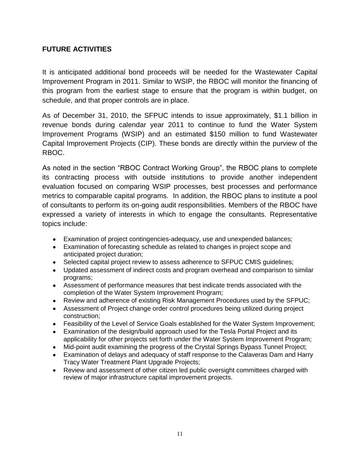## **FUTURE ACTIVITIES**

It is anticipated additional bond proceeds will be needed for the Wastewater Capital Improvement Program in 2011. Similar to WSIP, the RBOC will monitor the financing of this program from the earliest stage to ensure that the program is within budget, on schedule, and that proper controls are in place.

As of December 31, 2010, the SFPUC intends to issue approximately, \$1.1 billion in revenue bonds during calendar year 2011 to continue to fund the Water System Improvement Programs (WSIP) and an estimated \$150 million to fund Wastewater Capital Improvement Projects (CIP). These bonds are directly within the purview of the RBOC.

As noted in the section "RBOC Contract Working Group", the RBOC plans to complete its contracting process with outside institutions to provide another independent evaluation focused on comparing WSIP processes, best processes and performance metrics to comparable capital programs. In addition, the RBOC plans to institute a pool of consultants to perform its on-going audit responsibilities. Members of the RBOC have expressed a variety of interests in which to engage the consultants. Representative topics include:

- Examination of project contingencies-adequacy, use and unexpended balances;
- Examination of forecasting schedule as related to changes in project scope and anticipated project duration;
- Selected capital project review to assess adherence to SFPUC CMIS guidelines;
- Updated assessment of indirect costs and program overhead and comparison to similar programs;
- Assessment of performance measures that best indicate trends associated with the completion of the Water System Improvement Program;
- Review and adherence of existing Risk Management Procedures used by the SFPUC;
- Assessment of Project change order control procedures being utilized during project construction;
- Feasibility of the Level of Service Goals established for the Water System Improvement:
- Examination of the design/build approach used for the Tesla Portal Project and its applicability for other projects set forth under the Water System Improvement Program;
- Mid-point audit examining the progress of the Crystal Springs Bypass Tunnel Project;
- Examination of delays and adequacy of staff response to the Calaveras Dam and Harry Tracy Water Treatment Plant Upgrade Projects;
- Review and assessment of other citizen led public oversight committees charged with  $\bullet$ review of major infrastructure capital improvement projects.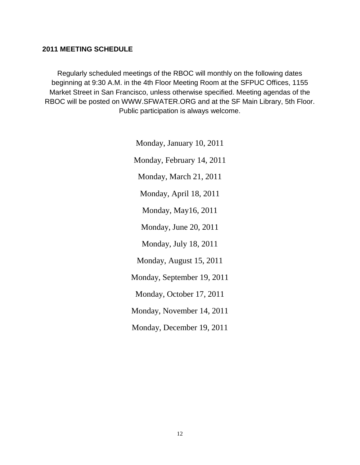#### **2011 MEETING SCHEDULE**

Regularly scheduled meetings of the RBOC will monthly on the following dates beginning at 9:30 A.M. in the 4th Floor Meeting Room at the SFPUC Offices, 1155 Market Street in San Francisco, unless otherwise specified. Meeting agendas of the RBOC will be posted on WWW.SFWATER.ORG and at the SF Main Library, 5th Floor. Public participation is always welcome.

> Monday, January 10, 2011 Monday, February 14, 2011 Monday, March 21, 2011 Monday, April 18, 2011 Monday, May16, 2011 Monday, June 20, 2011 Monday, July 18, 2011 Monday, August 15, 2011 Monday, September 19, 2011 Monday, October 17, 2011 Monday, November 14, 2011 Monday, December 19, 2011